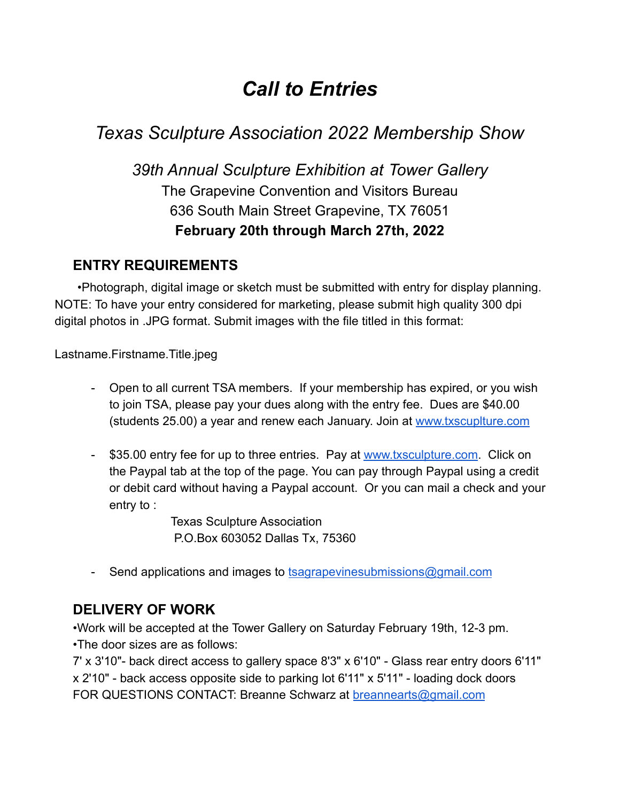# *Call to Entries*

# *Texas Sculpture Association 2022 Membership Show*

## *39th Annual Sculpture Exhibition at Tower Gallery* The Grapevine Convention and Visitors Bureau 636 South Main Street Grapevine, TX 76051 **February 20th through March 27th, 2022**

## **ENTRY REQUIREMENTS**

•Photograph, digital image or sketch must be submitted with entry for display planning. NOTE: To have your entry considered for marketing, please submit high quality 300 dpi digital photos in .JPG format. Submit images with the file titled in this format:

Lastname.Firstname.Title.jpeg

- Open to all current TSA members. If your membership has expired, or you wish to join TSA, please pay your dues along with the entry fee. Dues are \$40.00 (students 25.00) a year and renew each January. Join at [www.txscuplture.com](http://www.txscuplture.com)
- 535.00 entry fee for up to three entries. Pay at [www.txsculpture.com](http://www.txsculpture.com). Click on the Paypal tab at the top of the page. You can pay through Paypal using a credit or debit card without having a Paypal account. Or you can mail a check and your entry to :

Texas Sculpture Association P.O.Box 603052 Dallas Tx, 75360

- Send applications and images to [tsagrapevinesubmissions@gmail.com](mailto:tsagrapevinesubmissions@gmail.com)

## **DELIVERY OF WORK**

•Work will be accepted at the Tower Gallery on Saturday February 19th, 12-3 pm. •The door sizes are as follows:

7' x 3'10"- back direct access to gallery space 8'3" x 6'10" - Glass rear entry doors 6'11" x 2'10" - back access opposite side to parking lot 6'11" x 5'11" - loading dock doors FOR QUESTIONS CONTACT: Breanne Schwarz at **[breannearts@gmail.com](mailto:breannearts@gmail.com)**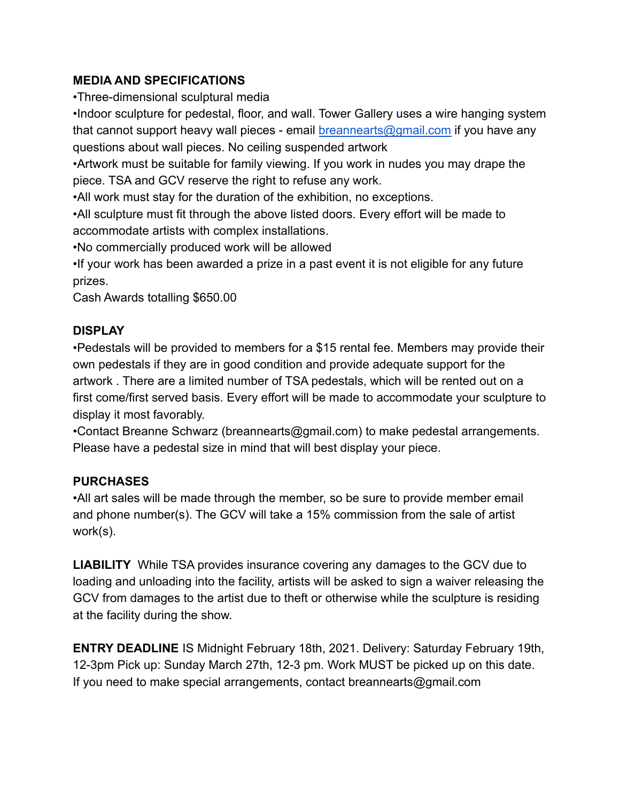#### **MEDIA AND SPECIFICATIONS**

•Three-dimensional sculptural media

•Indoor sculpture for pedestal, floor, and wall. Tower Gallery uses a wire hanging system that cannot support heavy wall pieces - email [breannearts@gmail.com](mailto:breannearts@gamil.com) if you have any questions about wall pieces. No ceiling suspended artwork

•Artwork must be suitable for family viewing. If you work in nudes you may drape the piece. TSA and GCV reserve the right to refuse any work.

•All work must stay for the duration of the exhibition, no exceptions.

•All sculpture must fit through the above listed doors. Every effort will be made to accommodate artists with complex installations.

•No commercially produced work will be allowed

•If your work has been awarded a prize in a past event it is not eligible for any future prizes.

Cash Awards totalling \$650.00

### **DISPLAY**

•Pedestals will be provided to members for a \$15 rental fee. Members may provide their own pedestals if they are in good condition and provide adequate support for the artwork . There are a limited number of TSA pedestals, which will be rented out on a first come/first served basis. Every effort will be made to accommodate your sculpture to display it most favorably.

•Contact Breanne Schwarz (breannearts@gmail.com) to make pedestal arrangements. Please have a pedestal size in mind that will best display your piece.

### **PURCHASES**

•All art sales will be made through the member, so be sure to provide member email and phone number(s). The GCV will take a 15% commission from the sale of artist work(s).

**LIABILITY** While TSA provides insurance covering any damages to the GCV due to loading and unloading into the facility, artists will be asked to sign a waiver releasing the GCV from damages to the artist due to theft or otherwise while the sculpture is residing at the facility during the show.

**ENTRY DEADLINE** IS Midnight February 18th, 2021. Delivery: Saturday February 19th, 12-3pm Pick up: Sunday March 27th, 12-3 pm. Work MUST be picked up on this date. If you need to make special arrangements, contact breannearts@gmail.com